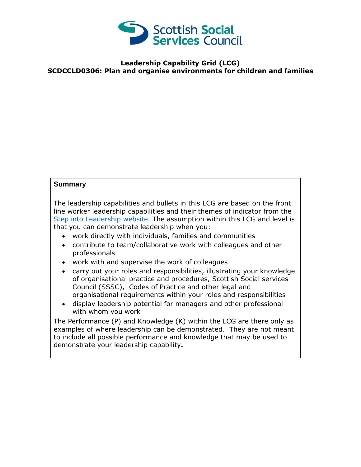

## **Leadership Capability Grid (LCG) SCDCCLD0306: Plan and organise environments for children and families**

## **Summary**

The leadership capabilities and bullets in this LCG are based on the front line worker leadership capabilities and their themes of indicator from the [Step into Leadership website.](http://www.stepintoleadership.info/) The assumption within this LCG and level is that you can demonstrate leadership when you:

- work directly with individuals, families and communities
- contribute to team/collaborative work with colleagues and other professionals
- work with and supervise the work of colleagues
- carry out your roles and responsibilities, illustrating your knowledge of organisational practice and procedures, Scottish Social services Council (SSSC), Codes of Practice and other legal and organisational requirements within your roles and responsibilities
- display leadership potential for managers and other professional with whom you work

The Performance (P) and Knowledge (K) within the LCG are there only as examples of where leadership can be demonstrated. They are not meant to include all possible performance and knowledge that may be used to demonstrate your leadership capability**.**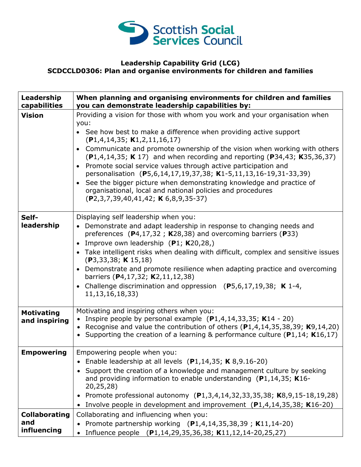

## **Leadership Capability Grid (LCG) SCDCCLD0306: Plan and organise environments for children and families**

| Leadership<br>capabilities                 | When planning and organising environments for children and families<br>you can demonstrate leadership capabilities by:                                                                                                                                                                                                                                                                                                                                                                                                                                                                                                                                                            |
|--------------------------------------------|-----------------------------------------------------------------------------------------------------------------------------------------------------------------------------------------------------------------------------------------------------------------------------------------------------------------------------------------------------------------------------------------------------------------------------------------------------------------------------------------------------------------------------------------------------------------------------------------------------------------------------------------------------------------------------------|
| <b>Vision</b>                              | Providing a vision for those with whom you work and your organisation when<br>you:<br>• See how best to make a difference when providing active support<br>(P1, 4, 14, 35; K1, 2, 11, 16, 17)<br>• Communicate and promote ownership of the vision when working with others<br>$(P1,4,14,35; K 17)$ and when recording and reporting $(P34,43; K35,36,37)$<br>• Promote social service values through active participation and<br>personalisation (P5,6,14,17,19,37,38; K1-5,11,13,16-19,31-33,39)<br>• See the bigger picture when demonstrating knowledge and practice of<br>organisational, local and national policies and procedures<br>$(P2,3,7,39,40,41,42; K6,8,9,35-37)$ |
| Self-<br>leadership                        | Displaying self leadership when you:<br>• Demonstrate and adapt leadership in response to changing needs and<br>preferences ( $P$ 4,17,32; K28,38) and overcoming barriers ( $P$ 33)<br>• Improve own leadership (P1; K20,28,)<br>• Take intelligent risks when dealing with difficult, complex and sensitive issues<br>(P3, 33, 38; K15, 18)<br>• Demonstrate and promote resilience when adapting practice and overcoming<br>barriers (P4,17,32; K2,11,12,38)<br>• Challenge discrimination and oppression $(P5,6,17,19,38; K1-4,$<br>11, 13, 16, 18, 33)                                                                                                                       |
| <b>Motivating</b><br>and inspiring         | Motivating and inspiring others when you:<br>Inspire people by personal example $(P1,4,14,33,35; K14 - 20)$<br>• Recognise and value the contribution of others $(P1,4,14,35,38,39; K9,14,20)$<br>• Supporting the creation of a learning & performance culture ( $P1,14$ ; K16,17)                                                                                                                                                                                                                                                                                                                                                                                               |
| <b>Empowering</b>                          | Empowering people when you:<br>Enable leadership at all levels $(P1, 14, 35; K 8, 9.16-20)$<br>• Support the creation of a knowledge and management culture by seeking<br>and providing information to enable understanding $(P1, 14, 35; K16-$<br>20,25,28)<br>• Promote professional autonomy (P1,3,4,14,32,33,35,38; K8,9,15-18,19,28)<br>• Involve people in development and improvement $(P1,4,14,35,38; K16-20)$                                                                                                                                                                                                                                                            |
| <b>Collaborating</b><br>and<br>influencing | Collaborating and influencing when you:<br>Promote partnership working $(P1,4,14,35,38,39; K11,14-20)$<br>Influence people (P1,14,29,35,36,38; K11,12,14-20,25,27)                                                                                                                                                                                                                                                                                                                                                                                                                                                                                                                |